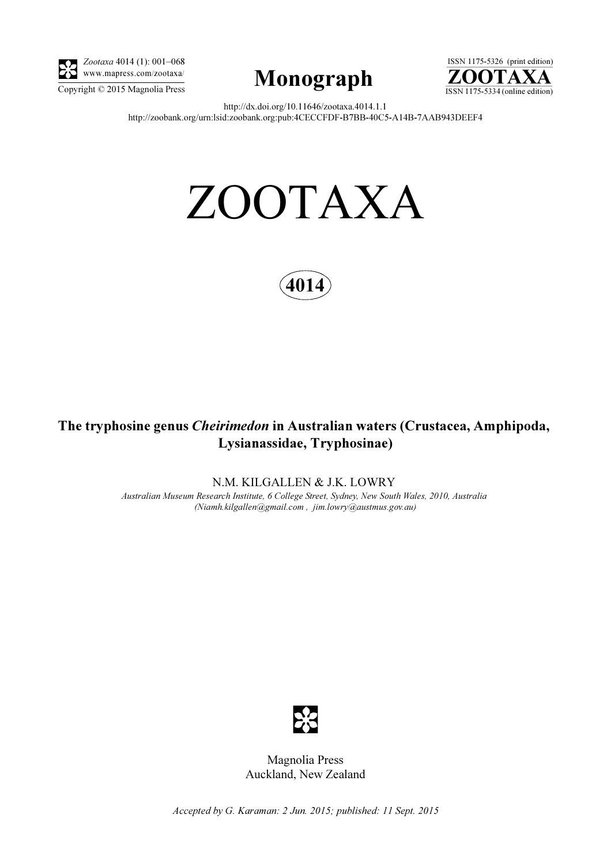

Zootaxa 4014 (1): 001–068 www.mapress.com/zootaxa/





http://dx.doi.org/10.11646/zootaxa.4014.1.1 http://zoobank.org/urn:lsid:zoobank.org:pub:4CECCFDF-B7BB-40C5-A14B-7AAB943DEEF4

# ZOOTAXA



# The tryphosine genus Cheirimedon in Australian waters (Crustacea, Amphipoda, Lysianassidae, Tryphosinae)

N.M. KILGALLEN & J.K. LOWRY

Australian Museum Research Institute, 6 College Street, Sydney, New South Wales, 2010, Australia (Niamh.kilgallen@gmail.com , jim.lowry@austmus.gov.au)



Magnolia Press Auckland, New Zealand

Accepted by G. Karaman: 2 Jun. 2015; published: 11 Sept. 2015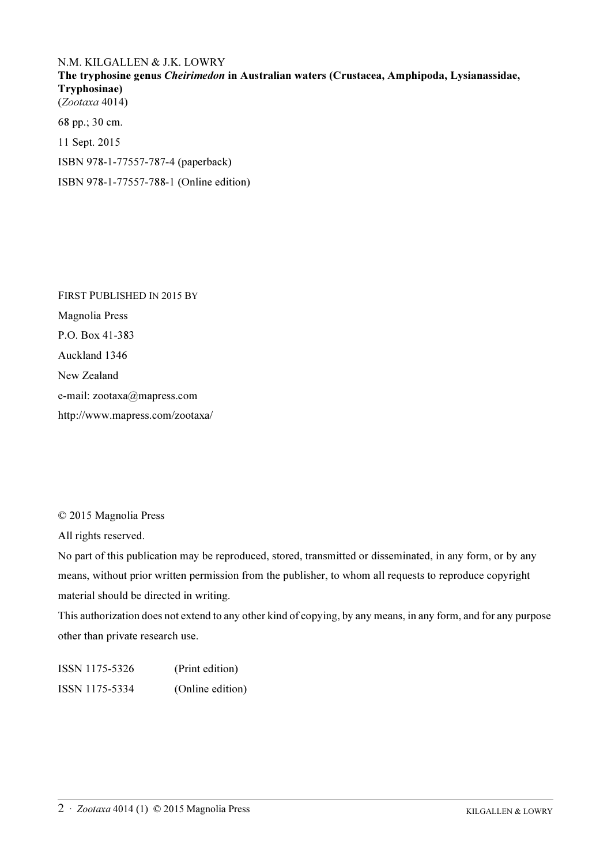## N.M. KILGALLEN & J.K. LOWRY

The tryphosine genus Cheirimedon in Australian waters (Crustacea, Amphipoda, Lysianassidae, Tryphosinae) (Zootaxa 4014)

68 pp.; 30 cm. 11 Sept. 2015 ISBN 978-1-77557-787-4 (paperback) ISBN 978-1-77557-788-1 (Online edition)

FIRST PUBLISHED IN 2015 BY Magnolia Press P.O. Box 41-383 Auckland 1346 New Zealand e-mail: zootaxa@mapress.com http://www.mapress.com/zootaxa/

© 2015 Magnolia Press

All rights reserved.

No part of this publication may be reproduced, stored, transmitted or disseminated, in any form, or by any means, without prior written permission from the publisher, to whom all requests to reproduce copyright material should be directed in writing.

This authorization does not extend to any other kind of copying, by any means, in any form, and for any purpose other than private research use.

ISSN 1175-5326 (Print edition) ISSN 1175-5334 (Online edition)